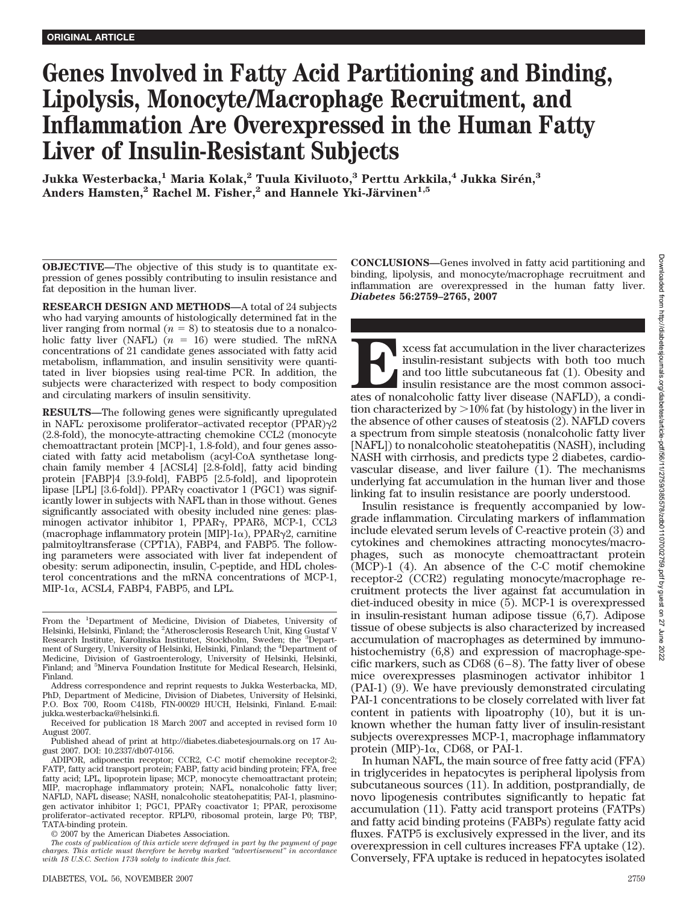# **Genes Involved in Fatty Acid Partitioning and Binding, Lipolysis, Monocyte/Macrophage Recruitment, and Inflammation Are Overexpressed in the Human Fatty Liver of Insulin-Resistant Subjects**

**Jukka Westerbacka,1 Maria Kolak,2 Tuula Kiviluoto,3 Perttu Arkkila,4 Jukka Sire´n,3** Anders Hamsten,<sup>2</sup> Rachel M. Fisher,<sup>2</sup> and Hannele Yki-Järvinen<sup>1,5</sup>

**OBJECTIVE—**The objective of this study is to quantitate expression of genes possibly contributing to insulin resistance and fat deposition in the human liver.

**RESEARCH DESIGN AND METHODS—**A total of 24 subjects who had varying amounts of histologically determined fat in the liver ranging from normal  $(n = 8)$  to steatosis due to a nonalcoholic fatty liver (NAFL)  $(n = 16)$  were studied. The mRNA concentrations of 21 candidate genes associated with fatty acid metabolism, inflammation, and insulin sensitivity were quantitated in liver biopsies using real-time PCR. In addition, the subjects were characterized with respect to body composition and circulating markers of insulin sensitivity.

**RESULTS—**The following genes were significantly upregulated in NAFL: peroxisome proliferator-activated receptor  $(PPAR)\gamma2$ (2.8-fold), the monocyte-attracting chemokine CCL2 (monocyte chemoattractant protein [MCP]-1, 1.8-fold), and four genes associated with fatty acid metabolism (acyl-CoA synthetase longchain family member 4 [ACSL4] [2.8-fold], fatty acid binding protein [FABP]4 [3.9-fold], FABP5 [2.5-fold], and lipoprotein lipase [LPL] [3.6-fold]). PPAR<sub>Y</sub> coactivator 1 (PGC1) was significantly lower in subjects with NAFL than in those without. Genes significantly associated with obesity included nine genes: plasminogen activator inhibitor 1, PPAR<sub>Y</sub>, PPAR<sub>6</sub>, MCP-1, CCL3 (macrophage inflammatory protein [MIP]-1 $\alpha$ ), PPAR $\gamma$ 2, carnitine palmitoyltransferase (CPT1A), FABP4, and FABP5. The following parameters were associated with liver fat independent of obesity: serum adiponectin, insulin, C-peptide, and HDL cholesterol concentrations and the mRNA concentrations of MCP-1, MIP-1 $\alpha$ , ACSL4, FABP4, FABP5, and LPL.

From the <sup>1</sup>Department of Medicine, Division of Diabetes, University of Helsinki, Helsinki, Finland; the <sup>2</sup>Atherosclerosis Research Unit, King Gustaf V Research Institute, Karolinska Institutet, Stockholm, Sweden; the <sup>3</sup>Department of Surgery, University of Helsinki, Helsinki, Finland; the <sup>4</sup> Department of Medicine, Division of Gastroenterology, University of Helsinki, Helsinki, Finland; and <sup>5</sup>Minerva Foundation Institute for Medical Research, Helsinki, Finland.

Address correspondence and reprint requests to Jukka Westerbacka, MD, PhD, Department of Medicine, Division of Diabetes, University of Helsinki, P.O. Box 700, Room C418b, FIN-00029 HUCH, Helsinki, Finland. E-mail: jukka.westerbacka@helsinki.fi.

Received for publication 18 March 2007 and accepted in revised form 10 August 2007.

Published ahead of print at http://diabetes.diabetesjournals.org on 17 August 2007. DOI: 10.2337/db07-0156.

ADIPOR, adiponectin receptor; CCR2, C-C motif chemokine receptor-2; FATP, fatty acid transport protein; FABP, fatty acid binding protein; FFA, free fatty acid; LPL, lipoprotein lipase; MCP, monocyte chemoattractant protein; MIP, macrophage inflammatory protein; NAFL, nonalcoholic fatty liver; NAFLD, NAFL disease; NASH, nonalcoholic steatohepatitis; PAI-1, plasminogen activator inhibitor 1; PGC1, PPAR<sub>Y</sub> coactivator 1; PPAR, peroxisome proliferator–activated receptor. RPLP0, ribosomal protein, large P0; TBP, TATA-binding protein.

© 2007 by the American Diabetes Association.

*The costs of publication of this article were defrayed in part by the payment of page charges. This article must therefore be hereby marked "advertisement" in accordance with 18 U.S.C. Section 1734 solely to indicate this fact.*

**CONCLUSIONS—**Genes involved in fatty acid partitioning and binding, lipolysis, and monocyte/macrophage recruitment and inflammation are overexpressed in the human fatty liver. *Diabetes* **56:2759–2765, 2007**

**Excess fat accumulation in the liver characterizes**<br>
and too little subcutaneous fat (1). Obesity and<br>
insulin resistance are the most common associates of nonalcoholic fatty liver disease (NAFLD), a condiinsulin-resistant subjects with both too much and too little subcutaneous fat (1). Obesity and insulin resistance are the most common assocition characterized by  $>10\%$  fat (by histology) in the liver in the absence of other causes of steatosis (2). NAFLD covers a spectrum from simple steatosis (nonalcoholic fatty liver [NAFL]) to nonalcoholic steatohepatitis (NASH), including NASH with cirrhosis, and predicts type 2 diabetes, cardiovascular disease, and liver failure (1). The mechanisms underlying fat accumulation in the human liver and those linking fat to insulin resistance are poorly understood.

Insulin resistance is frequently accompanied by lowgrade inflammation. Circulating markers of inflammation include elevated serum levels of C-reactive protein (3) and cytokines and chemokines attracting monocytes/macrophages, such as monocyte chemoattractant protein (MCP)-1 (4). An absence of the C-C motif chemokine receptor-2 (CCR2) regulating monocyte/macrophage recruitment protects the liver against fat accumulation in diet-induced obesity in mice (5). MCP-1 is overexpressed in insulin-resistant human adipose tissue (6,7). Adipose tissue of obese subjects is also characterized by increased accumulation of macrophages as determined by immunohistochemistry (6,8) and expression of macrophage-specific markers, such as  $CD68 (6-8)$ . The fatty liver of obese mice overexpresses plasminogen activator inhibitor 1 (PAI-1) (9). We have previously demonstrated circulating PAI-1 concentrations to be closely correlated with liver fat content in patients with lipoatrophy (10), but it is unknown whether the human fatty liver of insulin-resistant subjects overexpresses MCP-1, macrophage inflammatory protein (MIP)-1 $\alpha$ , CD68, or PAI-1.

In human NAFL, the main source of free fatty acid (FFA) in triglycerides in hepatocytes is peripheral lipolysis from subcutaneous sources (11). In addition, postprandially, de novo lipogenesis contributes significantly to hepatic fat accumulation (11). Fatty acid transport proteins (FATPs) and fatty acid binding proteins (FABPs) regulate fatty acid fluxes. FATP5 is exclusively expressed in the liver, and its overexpression in cell cultures increases FFA uptake (12). Conversely, FFA uptake is reduced in hepatocytes isolated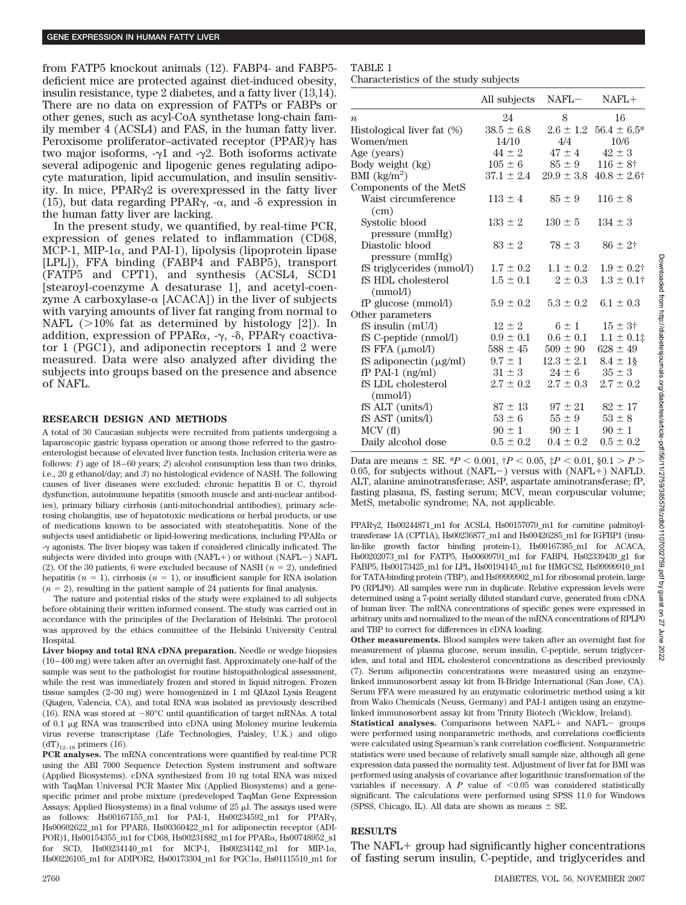from FATP5 knockout animals (12). FABP4- and FABP5 deficient mice are protected against diet-induced obesity, insulin resistance, type 2 diabetes, and a fatty liver (13,14). There are no data on expression of FATPs or FABPs or other genes, such as acyl-CoA synthetase long-chain family member 4 (ACSL4) and FAS, in the human fatty liver. Peroxisome proliferator-activated receptor (PPAR) $\gamma$  has two major isoforms,  $-\gamma 1$  and  $-\gamma 2$ . Both isoforms activate several adipogenic and lipogenic genes regulating adipocyte maturation, lipid accumulation, and insulin sensitivity. In mice,  $PPAR\gamma2$  is overexpressed in the fatty liver (15), but data regarding PPAR $\gamma$ , - $\alpha$ , and - $\delta$  expression in the human fatty liver are lacking.

In the present study, we quantified, by real-time PCR, expression of genes related to inflammation (CD68, MCP-1, MIP-1 $\alpha$ , and PAI-1), lipolysis (lipoprotein lipase [LPL]), FFA binding (FABP4 and FABP5), transport (FATP5 and CPT1), and synthesis (ACSL4, SCD1 [stearoyl-coenzyme A desaturase 1], and acetyl-coenzyme A carboxylase- $\alpha$  [ACACA]) in the liver of subjects with varying amounts of liver fat ranging from normal to NAFL  $(>10\%$  fat as determined by histology [2]). In addition, expression of PPAR $\alpha$ ,  $-\gamma$ ,  $-\delta$ , PPAR $\gamma$  coactivator 1 (PGC1), and adiponectin receptors 1 and 2 were measured. Data were also analyzed after dividing the subjects into groups based on the presence and absence of NAFL.

#### **RESEARCH DESIGN AND METHODS**

A total of 30 Caucasian subjects were recruited from patients undergoing a laparoscopic gastric bypass operation or among those referred to the gastroenterologist because of elevated liver function tests. Inclusion criteria were as follows: *1*) age of 18-60 years; *2*) alcohol consumption less than two drinks, i.e., 20 g ethanol/day; and *3*) no histological evidence of NASH. The following causes of liver diseases were excluded: chronic hepatitis B or C, thyroid dysfunction, autoimmune hepatitis (smooth muscle and anti-nuclear antibodies), primary biliary cirrhosis (anti-mitochondrial antibodies), primary sclerosing cholangitis, use of hepatotoxic medications or herbal products, or use of medications known to be associated with steatohepatitis. None of the subjects used antidiabetic or lipid-lowering medications, including  $PPAR\alpha$  or - $\gamma$  agonists. The liver biopsy was taken if considered clinically indicated. The subjects were divided into groups with  $(NAFL+)$  or without  $(NAFL-)$  NAFL (2). Of the 30 patients, 6 were excluded because of NASH  $(n = 2)$ , undefined hepatitis ( $n = 1$ ), cirrhosis ( $n = 1$ ), or insufficient sample for RNA isolation  $(n = 2)$ , resulting in the patient sample of 24 patients for final analysis.

The nature and potential risks of the study were explained to all subjects before obtaining their written informed consent. The study was carried out in accordance with the principles of the Declaration of Helsinki. The protocol was approved by the ethics committee of the Helsinki University Central Hospital.

**Liver biopsy and total RNA cDNA preparation.** Needle or wedge biopsies  $(10-400 \text{ mg})$  were taken after an overnight fast. Approximately one-half of the sample was sent to the pathologist for routine histopathological assessment, while the rest was immediately frozen and stored in liquid nitrogen. Frozen tissue samples (2–30 mg) were homogenized in 1 ml QIAzol Lysis Reagent (Qiagen, Valencia, CA), and total RNA was isolated as previously described (16). RNA was stored at  $-80^{\circ}$ C until quantification of target mRNAs. A total of 0.1 g RNA was transcribed into cDNA using Moloney murine leukemia virus reverse transcriptase (Life Technologies, Paisley, U.K.) and oligo  $(dT)_{12-18}$  primers (16).

**PCR analyses.** The mRNA concentrations were quantified by real-time PCR using the ABI 7000 Sequence Detection System instrument and software (Applied Biosystems). cDNA synthesized from 10 ng total RNA was mixed with TaqMan Universal PCR Master Mix (Applied Biosystems) and a genespecific primer and probe mixture (predeveloped TaqMan Gene Expression Assays; Applied Biosystems) in a final volume of  $25 \mu$ . The assays used were as follows: Hs00167155\_m1 for PAI-1, Hs00234592\_m1 for PPAR<sub>7</sub>, Hs00602622\_m1 for PPAR, Hs00360422\_m1 for adiponectin receptor (ADI-POR)1, Hs00154355\_m1 for CD68, Hs00231882\_m1 for PPARα, Hs00748952\_s1 for SCD, Hs00234140\_m1 for MCP-1, Hs00234142\_m1 for MIP-1 $\alpha$ , Hs00226105\_m1 for ADIPOR2, Hs00173304\_m1 for PGC1α, Hs01115510\_m1 for

## TABLE 1

Characteristics of the study subjects

|                               | All subjects   | $NAFL-$        | $NAFL+$                        |
|-------------------------------|----------------|----------------|--------------------------------|
| $\boldsymbol{n}$              | 24             | 8              | 16                             |
| Histological liver fat (%)    | $38.5 \pm 6.8$ |                | $2.6 \pm 1.2$ 56.4 $\pm$ 6.5*  |
| Women/men                     | 14/10          | 4/4            | 10/6                           |
| Age (years)                   | $44 \pm 2$     | $47 \pm 4$     | $42 \pm 3$                     |
| Body weight (kg)              | $105 \pm 6$    |                | $85 \pm 9$ $116 \pm 8^{\circ}$ |
| BMI $(kg/m^2)$                | $37.1 \pm 2.4$ | $29.9 \pm 3.8$ | $40.8 \pm 2.6^{\dagger}$       |
| Components of the MetS        |                |                |                                |
| Waist circumference           | $113 \pm 4$    | $85 \pm 9$     | $116 \pm 8$                    |
| (cm)                          |                |                |                                |
| Systolic blood                | $133 \pm 2$    | $130 \pm 5$    | $134 \pm 3$                    |
| pressure (mmHg)               |                |                |                                |
| Diastolic blood               | $83 \pm 2$     | $78 \pm 3$     | $86 \pm 2^{+}$                 |
| pressure (mmHg)               |                |                |                                |
| fS triglycerides (mmol/l)     | $1.7 \pm 0.2$  | $1.1 \pm 0.2$  | $1.9 \pm 0.2$ †                |
| fS HDL cholesterol            | $1.5 \pm 0.1$  | $2 \pm 0.3$    | $1.3 \pm 0.1^{\dagger}$        |
| (mmol/l)                      |                |                |                                |
| fP glucose (mmol/l)           | $5.9 \pm 0.2$  | $5.3 \pm 0.2$  | $6.1 \pm 0.3$                  |
| Other parameters              |                |                |                                |
| fS insulin (mU/l)             | $12 \pm 2$     | $6 \pm 1$      | $15 \pm 3^{\circ}$             |
| fS C-peptide (nmol/l)         | $0.9 \pm 0.1$  | $0.6 \pm 0.1$  | $1.1 \pm 0.1$                  |
| $fS$ FFA $(\mu \text{mol/l})$ | $588 \pm 45$   | $509 \pm 90$   | $628 \pm 49$                   |
| fS adiponectin $(\mu g/ml)$   | $9.7 \pm 1$    | $12.3 \pm 2.1$ | $8.4 \pm 18$                   |
| $fP$ PAI-1 $(ng/ml)$          | $31 \pm 3$     | $24 \pm 6$     | $35 \pm 3$                     |
| fS LDL cholesterol            | $2.7 \pm 0.2$  | $2.7 \pm 0.3$  | $2.7 \pm 0.2$                  |
| (mmol/l)                      |                |                |                                |
| fS ALT (units/l)              | $87 \pm 13$    | $97 \pm 21$    | $82 \pm 17$                    |
| fS AST (units/l)              | $53 \pm 6$     | $55 \pm 9$     | $53 \pm 8$                     |
| MCV(f)                        | $90 \pm 1$     | $90 \pm 1$     | $90 \pm 1$                     |
| Daily alcohol dose            | $0.5 \pm 0.2$  | $0.4 \pm 0.2$  | $0.5 \pm 0.2$                  |

Data are means  $\pm$  SE.  $*P < 0.001$ ,  $\dagger P < 0.05$ ,  $\ddagger P < 0.01$ ,  $\S 0.1 > P >$ 0.05, for subjects without  $(NAFL-)$  versus with  $(NAFL+)$  NAFLD. ALT, alanine aminotransferase; ASP, aspartate aminotransferase; fP, fasting plasma, fS, fasting serum; MCV, mean corpuscular volume; MetS, metabolic syndrome; NA, not applicable.

PPAR<sub>7</sub>2, Hs00244871\_m1 for ACSL4, Hs00157079\_m1 for carnitine palmitoyltransferase 1A (CPT1A), Hs00236877\_m1 and Hs00426285\_m1 for IGFBP1 (insulin-like growth factor binding protein-1), Hs00167385\_m1 for ACACA, Hs00202073\_m1 for FATP5, Hs00609791\_m1 for FABP4, Hs02339439\_g1 for FABP5, Hs00173425\_m1 for LPL, Hs00194145\_m1 for HMGCS2, Hs99999910\_m1 for TATA-binding protein (TBP), and Hs99999902\_m1 for ribosomal protein, large P0 (RPLP0). All samples were run in duplicate. Relative expression levels were determined using a 7-point serially diluted standard curve, generated from cDNA of human liver. The mRNA concentrations of specific genes were expressed in arbitrary units and normalized to the mean of the mRNA concentrations of RPLP0 and TBP to correct for differences in cDNA loading.

**Other measurements.** Blood samples were taken after an overnight fast for measurement of plasma glucose, serum insulin, C-peptide, serum triglycerides, and total and HDL cholesterol concentrations as described previously (7). Serum adiponectin concentrations were measured using an enzymelinked immunosorbent assay kit from B-Bridge International (San Jose, CA). Serum FFA were measured by an enzymatic colorimetric method using a kit from Wako Chemicals (Neuss, Germany) and PAI-1 antigen using an enzymelinked immunosorbent assay kit from Trinity Biotech (Wicklow, Ireland).

**Statistical analyses.** Comparisons between NAFL+ and NAFL- groups were performed using nonparametric methods, and correlations coefficients were calculated using Spearman's rank correlation coefficient. Nonparametric statistics were used because of relatively small sample size, although all gene expression data passed the normality test. Adjustment of liver fat for BMI was performed using analysis of covariance after logarithmic transformation of the variables if necessary. A  $P$  value of  $\leq 0.05$  was considered statistically significant. The calculations were performed using SPSS 11.0 for Windows (SPSS, Chicago, IL). All data are shown as means  $\pm$  SE.

### **RESULTS**

The NAFL $+$  group had significantly higher concentrations of fasting serum insulin, C-peptide, and triglycerides and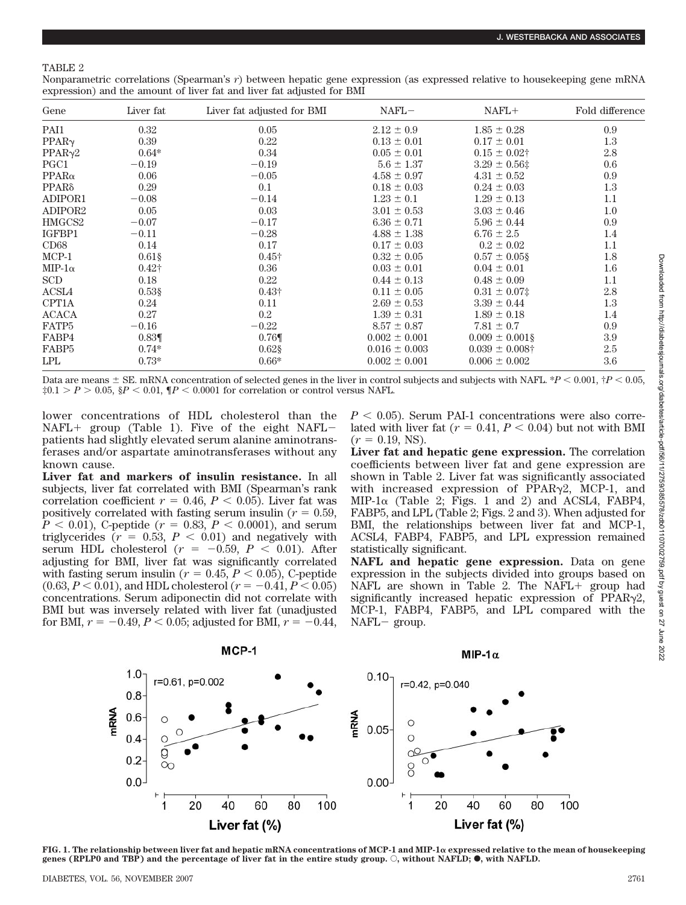## TABLE 2

Nonparametric correlations (Spearman's *r*) between hepatic gene expression (as expressed relative to housekeeping gene mRNA expression) and the amount of liver fat and liver fat adjusted for BMI

| Gene              | Liver fat     | Liver fat adjusted for BMI | $NAFL-$           | $NAFL+$             | Fold difference |
|-------------------|---------------|----------------------------|-------------------|---------------------|-----------------|
| PAI1              | 0.32          | 0.05                       | $2.12 \pm 0.9$    | $1.85 \pm 0.28$     | 0.9             |
| $PPAR\gamma$      | 0.39          | 0.22                       | $0.13 \pm 0.01$   | $0.17 \pm 0.01$     | 1.3             |
| PPAR <sub>2</sub> | $0.64*$       | 0.34                       | $0.05 \pm 0.01$   | $0.15 \pm 0.02$ †   | 2.8             |
| PGC1              | $-0.19$       | $-0.19$                    | $5.6 \pm 1.37$    | $3.29 \pm 0.56$ ‡   | 0.6             |
| $PPAR\alpha$      | 0.06          | $-0.05$                    | $4.58 \pm 0.97$   | $4.31 \pm 0.52$     | 0.9             |
| $PPAR\delta$      | 0.29          | 0.1                        | $0.18 \pm 0.03$   | $0.24 \pm 0.03$     | 1.3             |
| ADIPOR1           | $-0.08$       | $-0.14$                    | $1.23 \pm 0.1$    | $1.29 \pm 0.13$     | 1.1             |
| ADIPOR2           | 0.05          | 0.03                       | $3.01 \pm 0.53$   | $3.03 \pm 0.46$     | $1.0\,$         |
| HMGCS2            | $-0.07$       | $-0.17$                    | $6.36 \pm 0.71$   | $5.96 \pm 0.44$     | 0.9             |
| IGFBP1            | $-0.11$       | $-0.28$                    | $4.88 \pm 1.38$   | $6.76 \pm 2.5$      | 1.4             |
| CD68              | 0.14          | 0.17                       | $0.17 \pm 0.03$   | $0.2 \pm 0.02$      | 1.1             |
| $MCP-1$           | $0.61\$       | $0.45\dagger$              | $0.32 \pm 0.05$   | $0.57 \pm 0.05$ §   | 1.8             |
| MIP-1 $\alpha$    | $0.42\dagger$ | 0.36                       | $0.03 \pm 0.01$   | $0.04 \pm 0.01$     | $1.6\,$         |
| SCD               | 0.18          | 0.22                       | $0.44 \pm 0.13$   | $0.48 \pm 0.09$     | 1.1             |
| ACSL4             | $0.53$ \$     | $0.43\dagger$              | $0.11 \pm 0.05$   | $0.31 \pm 0.07$ ‡   | 2.8             |
| CPT1A             | 0.24          | 0.11                       | $2.69 \pm 0.53$   | $3.39 \pm 0.44$     | 1.3             |
| <b>ACACA</b>      | 0.27          | $0.2\,$                    | $1.39 \pm 0.31$   | $1.89 \pm 0.18$     | 1.4             |
| FATP <sub>5</sub> | $-0.16$       | $-0.22$                    | $8.57 \pm 0.87$   | $7.81 \pm 0.7$      | 0.9             |
| FABP4             | $0.83\P$      | 0.76                       | $0.002 \pm 0.001$ | $0.009 \pm 0.001\S$ | 3.9             |
| FABP <sub>5</sub> | $0.74*$       | $0.62$ §                   | $0.016 \pm 0.003$ | $0.039 \pm 0.008$ † | 2.5             |
| LPL               | $0.73*$       | $0.66*$                    | $0.002 \pm 0.001$ | $0.006 \pm 0.002$   | 3.6             |

Data are means  $\pm$  SE. mRNA concentration of selected genes in the liver in control subjects and subjects with NAFL.  $^{*}P$  < 0.001,  $^{*}P$  < 0.05,  $\ddagger 0.1 > P > 0.05$ ,  $\S P < 0.01$ ,  $\P P < 0.0001$  for correlation or control versus NAFL.

lower concentrations of HDL cholesterol than the  $NAFL+$  group (Table 1). Five of the eight  $NAFL$ patients had slightly elevated serum alanine aminotransferases and/or aspartate aminotransferases without any known cause.

**Liver fat and markers of insulin resistance.** In all subjects, liver fat correlated with BMI (Spearman's rank correlation coefficient  $r = 0.46, P < 0.05$ . Liver fat was positively correlated with fasting serum insulin ( $r = 0.59$ ,  $P < 0.01$ ), C-peptide ( $r = 0.83$ ,  $P < 0.0001$ ), and serum triglycerides  $(r = 0.53, P < 0.01)$  and negatively with serum HDL cholesterol  $(r = -0.59, P < 0.01)$ . After adjusting for BMI, liver fat was significantly correlated with fasting serum insulin ( $r = 0.45, P < 0.05$ ), C-peptide  $(0.63, P < 0.01)$ , and HDL cholesterol  $(r = -0.41, P < 0.05)$ concentrations. Serum adiponectin did not correlate with BMI but was inversely related with liver fat (unadjusted for BMI,  $r = -0.49$ ,  $P < 0.05$ ; adjusted for BMI,  $r = -0.44$ ,  $P < 0.05$ ). Serum PAI-1 concentrations were also correlated with liver fat  $(r = 0.41, P < 0.04)$  but not with BMI  $(r = 0.19, NS)$ .

**Liver fat and hepatic gene expression.** The correlation coefficients between liver fat and gene expression are shown in Table 2. Liver fat was significantly associated with increased expression of  $PPAR_{\gamma2}$ , MCP-1, and MIP-1 $\alpha$  (Table 2; Figs. 1 and 2) and ACSL4, FABP4, FABP5, and LPL (Table 2; Figs. 2 and 3). When adjusted for BMI, the relationships between liver fat and MCP-1, ACSL4, FABP4, FABP5, and LPL expression remained statistically significant.

**NAFL and hepatic gene expression.** Data on gene expression in the subjects divided into groups based on NAFL are shown in Table 2. The NAFL  $+$  group had significantly increased hepatic expression of  $PPAR_{\gamma2}$ , MCP-1, FABP4, FABP5, and LPL compared with the NAFL- group.



**FIG. 1. The relationship between liver fat and hepatic mRNA concentrations of MCP-1 and MIP-1 expressed relative to the mean of housekeeping genes (RPLP0 and TBP) and the percentage of liver fat in the entire study group.**  $\circ$ **, without NAFLD;**  $\bullet$ **, with NAFLD.**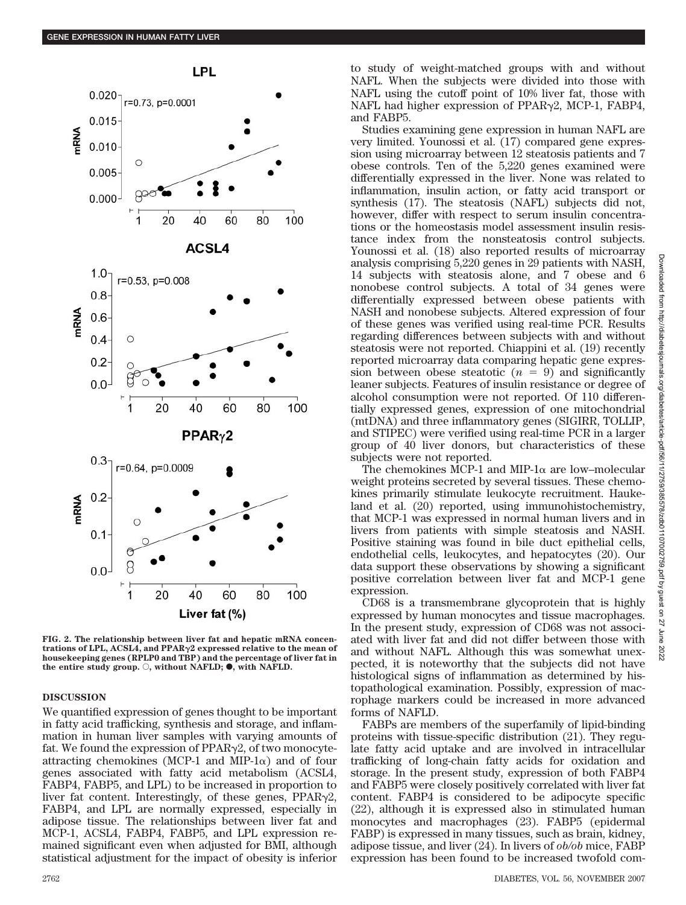

**FIG. 2. The relationship between liver fat and hepatic mRNA concentrations of LPL, ACSL4, and PPAR**-**2 expressed relative to the mean of housekeeping genes (RPLP0 and TBP) and the percentage of liver fat in** the entire study group.  $\bigcirc$ , without NAFLD;  $\bullet$ , with NAFLD.

### **DISCUSSION**

We quantified expression of genes thought to be important in fatty acid trafficking, synthesis and storage, and inflammation in human liver samples with varying amounts of fat. We found the expression of PPAR<sub>7</sub>2, of two monocyteattracting chemokines (MCP-1 and MIP-1 $\alpha$ ) and of four genes associated with fatty acid metabolism (ACSL4, FABP4, FABP5, and LPL) to be increased in proportion to liver fat content. Interestingly, of these genes,  $PPAR\gamma2$ , FABP4, and LPL are normally expressed, especially in adipose tissue. The relationships between liver fat and MCP-1, ACSL4, FABP4, FABP5, and LPL expression remained significant even when adjusted for BMI, although statistical adjustment for the impact of obesity is inferior to study of weight-matched groups with and without NAFL. When the subjects were divided into those with NAFL using the cutoff point of 10% liver fat, those with NAFL had higher expression of  $PPAR_{\gamma2}$ , MCP-1,  $FABP4$ , and FABP5.

Studies examining gene expression in human NAFL are very limited. Younossi et al. (17) compared gene expression using microarray between 12 steatosis patients and 7 obese controls. Ten of the 5,220 genes examined were differentially expressed in the liver. None was related to inflammation, insulin action, or fatty acid transport or synthesis (17). The steatosis (NAFL) subjects did not, however, differ with respect to serum insulin concentrations or the homeostasis model assessment insulin resistance index from the nonsteatosis control subjects. Younossi et al. (18) also reported results of microarray analysis comprising 5,220 genes in 29 patients with NASH, 14 subjects with steatosis alone, and 7 obese and 6 nonobese control subjects. A total of 34 genes were differentially expressed between obese patients with NASH and nonobese subjects. Altered expression of four of these genes was verified using real-time PCR. Results regarding differences between subjects with and without steatosis were not reported. Chiappini et al. (19) recently reported microarray data comparing hepatic gene expression between obese steatotic  $(n = 9)$  and significantly leaner subjects. Features of insulin resistance or degree of alcohol consumption were not reported. Of 110 differentially expressed genes, expression of one mitochondrial (mtDNA) and three inflammatory genes (SIGIRR, TOLLIP, and STIPEC) were verified using real-time PCR in a larger group of 40 liver donors, but characteristics of these subjects were not reported.

The chemokines MCP-1 and MIP-1 $\alpha$  are low–molecular weight proteins secreted by several tissues. These chemokines primarily stimulate leukocyte recruitment. Haukeland et al. (20) reported, using immunohistochemistry, that MCP-1 was expressed in normal human livers and in livers from patients with simple steatosis and NASH. Positive staining was found in bile duct epithelial cells, endothelial cells, leukocytes, and hepatocytes (20). Our data support these observations by showing a significant positive correlation between liver fat and MCP-1 gene expression.

CD68 is a transmembrane glycoprotein that is highly expressed by human monocytes and tissue macrophages. In the present study, expression of CD68 was not associated with liver fat and did not differ between those with and without NAFL. Although this was somewhat unexpected, it is noteworthy that the subjects did not have histological signs of inflammation as determined by histopathological examination. Possibly, expression of macrophage markers could be increased in more advanced forms of NAFLD.

FABPs are members of the superfamily of lipid-binding proteins with tissue-specific distribution (21). They regulate fatty acid uptake and are involved in intracellular trafficking of long-chain fatty acids for oxidation and storage. In the present study, expression of both FABP4 and FABP5 were closely positively correlated with liver fat content. FABP4 is considered to be adipocyte specific (22), although it is expressed also in stimulated human monocytes and macrophages (23). FABP5 (epidermal FABP) is expressed in many tissues, such as brain, kidney, adipose tissue, and liver (24). In livers of *ob/ob* mice, FABP expression has been found to be increased twofold com-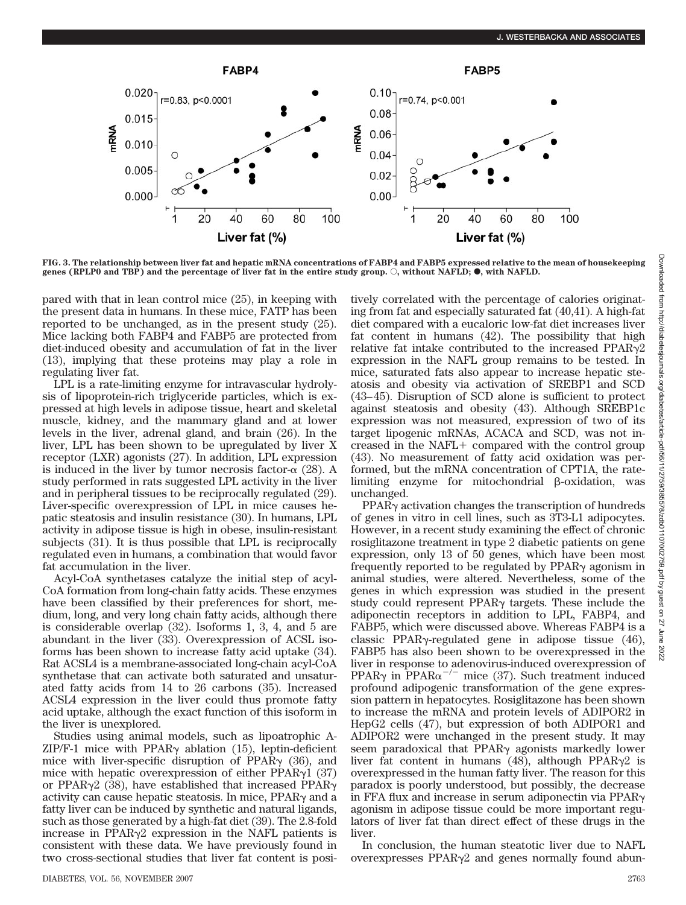

**FIG. 3. The relationship between liver fat and hepatic mRNA concentrations of FABP4 and FABP5 expressed relative to the mean of housekeeping genes (RPLP0 and TBP) and the percentage of liver fat in the entire study group.**  $\circ$ **, without NAFLD,**  $\bullet$ **, with NAFLD.** 

pared with that in lean control mice (25), in keeping with the present data in humans. In these mice, FATP has been reported to be unchanged, as in the present study (25). Mice lacking both FABP4 and FABP5 are protected from diet-induced obesity and accumulation of fat in the liver (13), implying that these proteins may play a role in regulating liver fat.

LPL is a rate-limiting enzyme for intravascular hydrolysis of lipoprotein-rich triglyceride particles, which is expressed at high levels in adipose tissue, heart and skeletal muscle, kidney, and the mammary gland and at lower levels in the liver, adrenal gland, and brain (26). In the liver, LPL has been shown to be upregulated by liver X receptor (LXR) agonists (27). In addition, LPL expression is induced in the liver by tumor necrosis factor- $\alpha$  (28). A study performed in rats suggested LPL activity in the liver and in peripheral tissues to be reciprocally regulated (29). Liver-specific overexpression of LPL in mice causes hepatic steatosis and insulin resistance (30). In humans, LPL activity in adipose tissue is high in obese, insulin-resistant subjects (31). It is thus possible that LPL is reciprocally regulated even in humans, a combination that would favor fat accumulation in the liver.

Acyl-CoA synthetases catalyze the initial step of acyl-CoA formation from long-chain fatty acids. These enzymes have been classified by their preferences for short, medium, long, and very long chain fatty acids, although there is considerable overlap (32). Isoforms 1, 3, 4, and 5 are abundant in the liver (33). Overexpression of ACSL isoforms has been shown to increase fatty acid uptake (34). Rat ACSL4 is a membrane-associated long-chain acyl-CoA synthetase that can activate both saturated and unsaturated fatty acids from 14 to 26 carbons (35). Increased ACSL4 expression in the liver could thus promote fatty acid uptake, although the exact function of this isoform in the liver is unexplored.

Studies using animal models, such as lipoatrophic A- $ZIP/F-1$  mice with PPAR $\gamma$  ablation (15), leptin-deficient mice with liver-specific disruption of PPAR $\gamma$  (36), and mice with hepatic overexpression of either PPAR $\gamma$ 1 (37) or PPAR $\gamma$ 2 (38), have established that increased PPAR $\gamma$ activity can cause hepatic steatosis. In mice,  $PPAR<sub>\gamma</sub>$  and a fatty liver can be induced by synthetic and natural ligands, such as those generated by a high-fat diet (39). The 2.8-fold increase in  $PPAR\gamma2$  expression in the NAFL patients is consistent with these data. We have previously found in two cross-sectional studies that liver fat content is positively correlated with the percentage of calories originating from fat and especially saturated fat (40,41). A high-fat diet compared with a eucaloric low-fat diet increases liver fat content in humans (42). The possibility that high relative fat intake contributed to the increased  $PPAR\gamma2$ expression in the NAFL group remains to be tested. In mice, saturated fats also appear to increase hepatic steatosis and obesity via activation of SREBP1 and SCD (43– 45). Disruption of SCD alone is sufficient to protect against steatosis and obesity (43). Although SREBP1c expression was not measured, expression of two of its target lipogenic mRNAs, ACACA and SCD, was not increased in the NAFL $+$  compared with the control group (43). No measurement of fatty acid oxidation was performed, but the mRNA concentration of CPT1A, the ratelimiting enzyme for mitochondrial  $\beta$ -oxidation, was unchanged.

 $PPAR<sub>Y</sub>$  activation changes the transcription of hundreds of genes in vitro in cell lines, such as 3T3-L1 adipocytes. However, in a recent study examining the effect of chronic rosiglitazone treatment in type 2 diabetic patients on gene expression, only 13 of 50 genes, which have been most frequently reported to be regulated by  $PPAR<sub>Y</sub>$  agonism in animal studies, were altered. Nevertheless, some of the genes in which expression was studied in the present study could represent  $PPAR<sub>\gamma</sub>$  targets. These include the adiponectin receptors in addition to LPL, FABP4, and FABP5, which were discussed above. Whereas FABP4 is a classic PPAR $\gamma$ -regulated gene in adipose tissue (46), FABP5 has also been shown to be overexpressed in the liver in response to adenovirus-induced overexpression of PPAR $\gamma$  in PPAR $\alpha^{-/-}$  mice (37). Such treatment induced profound adipogenic transformation of the gene expression pattern in hepatocytes. Rosiglitazone has been shown to increase the mRNA and protein levels of ADIPOR2 in HepG2 cells (47), but expression of both ADIPOR1 and ADIPOR2 were unchanged in the present study. It may seem paradoxical that  $PPAR<sub>Y</sub>$  agonists markedly lower liver fat content in humans (48), although PPAR $\gamma$ 2 is overexpressed in the human fatty liver. The reason for this paradox is poorly understood, but possibly, the decrease in FFA flux and increase in serum adiponectin via  $PPAR_{\gamma}$ agonism in adipose tissue could be more important regulators of liver fat than direct effect of these drugs in the liver.

In conclusion, the human steatotic liver due to NAFL  $overexpresses$  PPAR $\gamma$ 2 and genes normally found abun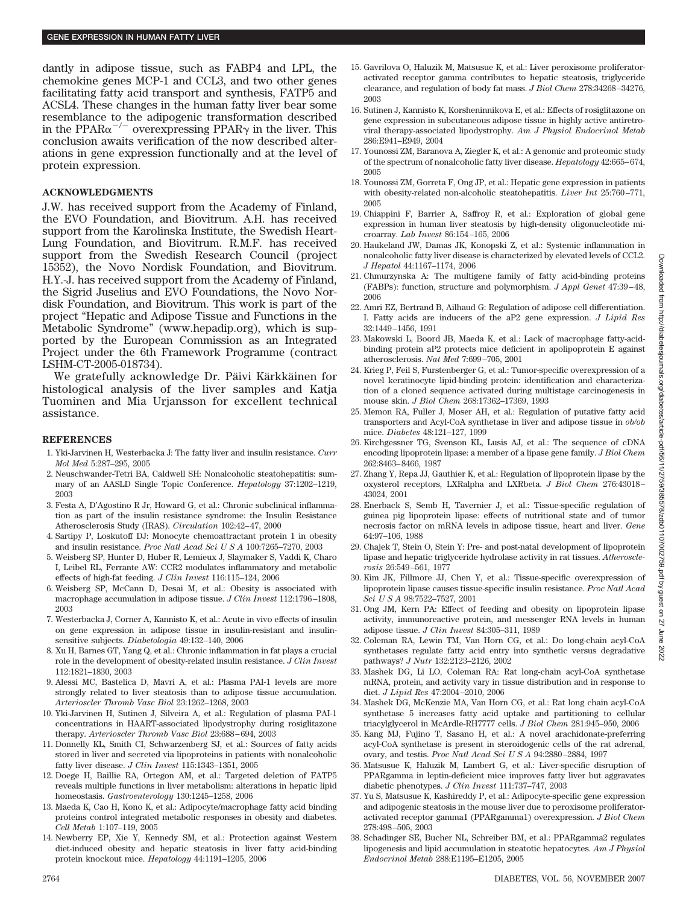dantly in adipose tissue, such as FABP4 and LPL, the chemokine genes MCP-1 and CCL3, and two other genes facilitating fatty acid transport and synthesis, FATP5 and ACSL4. These changes in the human fatty liver bear some resemblance to the adipogenic transformation described in the PPAR $\alpha^{-/-}$  overexpressing PPAR $\gamma$  in the liver. This conclusion awaits verification of the now described alterations in gene expression functionally and at the level of protein expression.

## **ACKNOWLEDGMENTS**

J.W. has received support from the Academy of Finland, the EVO Foundation, and Biovitrum. A.H. has received support from the Karolinska Institute, the Swedish Heart-Lung Foundation, and Biovitrum. R.M.F. has received support from the Swedish Research Council (project 15352), the Novo Nordisk Foundation, and Biovitrum. H.Y.-J. has received support from the Academy of Finland, the Sigrid Juselius and EVO Foundations, the Novo Nordisk Foundation, and Biovitrum. This work is part of the project "Hepatic and Adipose Tissue and Functions in the Metabolic Syndrome" (www.hepadip.org), which is supported by the European Commission as an Integrated Project under the 6th Framework Programme (contract LSHM-CT-2005-018734).

We gratefully acknowledge Dr. Päivi Kärkkäinen for histological analysis of the liver samples and Katja Tuominen and Mia Urjansson for excellent technical assistance.

## **REFERENCES**

- 1. Yki-Jarvinen H, Westerbacka J: The fatty liver and insulin resistance. *Curr Mol Med* 5:287–295, 2005
- 2. Neuschwander-Tetri BA, Caldwell SH: Nonalcoholic steatohepatitis: summary of an AASLD Single Topic Conference. *Hepatology* 37:1202–1219, 2003
- 3. Festa A, D'Agostino R Jr, Howard G, et al.: Chronic subclinical inflammation as part of the insulin resistance syndrome: the Insulin Resistance Atherosclerosis Study (IRAS). *Circulation* 102:42– 47, 2000
- 4. Sartipy P, Loskutoff DJ: Monocyte chemoattractant protein 1 in obesity and insulin resistance. *Proc Natl Acad SciUSA* 100:7265–7270, 2003
- 5. Weisberg SP, Hunter D, Huber R, Lemieux J, Slaymaker S, Vaddi K, Charo I, Leibel RL, Ferrante AW: CCR2 modulates inflammatory and metabolic effects of high-fat feeding. *J Clin Invest* 116:115–124, 2006
- 6. Weisberg SP, McCann D, Desai M, et al.: Obesity is associated with macrophage accumulation in adipose tissue. *J Clin Invest* 112:1796 –1808, 2003
- 7. Westerbacka J, Corner A, Kannisto K, et al.: Acute in vivo effects of insulin on gene expression in adipose tissue in insulin-resistant and insulinsensitive subjects. *Diabetologia* 49:132–140, 2006
- 8. Xu H, Barnes GT, Yang Q, et al.: Chronic inflammation in fat plays a crucial role in the development of obesity-related insulin resistance. *J Clin Invest* 112:1821–1830, 2003
- 9. Alessi MC, Bastelica D, Mavri A, et al.: Plasma PAI-1 levels are more strongly related to liver steatosis than to adipose tissue accumulation. *Arterioscler Thromb Vasc Biol* 23:1262–1268, 2003
- 10. Yki-Jarvinen H, Sutinen J, Silveira A, et al.: Regulation of plasma PAI-1 concentrations in HAART-associated lipodystrophy during rosiglitazone therapy. *Arterioscler Thromb Vasc Biol* 23:688 – 694, 2003
- 11. Donnelly KL, Smith CI, Schwarzenberg SJ, et al.: Sources of fatty acids stored in liver and secreted via lipoproteins in patients with nonalcoholic fatty liver disease. *J Clin Invest* 115:1343–1351, 2005
- 12. Doege H, Baillie RA, Ortegon AM, et al.: Targeted deletion of FATP5 reveals multiple functions in liver metabolism: alterations in hepatic lipid homeostasis. *Gastroenterology* 130:1245–1258, 2006
- 13. Maeda K, Cao H, Kono K, et al.: Adipocyte/macrophage fatty acid binding proteins control integrated metabolic responses in obesity and diabetes. *Cell Metab* 1:107–119, 2005
- 14. Newberry EP, Xie Y, Kennedy SM, et al.: Protection against Western diet-induced obesity and hepatic steatosis in liver fatty acid-binding protein knockout mice. *Hepatology* 44:1191–1205, 2006
- 15. Gavrilova O, Haluzik M, Matsusue K, et al.: Liver peroxisome proliferatoractivated receptor gamma contributes to hepatic steatosis, triglyceride clearance, and regulation of body fat mass. *J Biol Chem* 278:34268 –34276, 2003
- 16. Sutinen J, Kannisto K, Korsheninnikova E, et al.: Effects of rosiglitazone on gene expression in subcutaneous adipose tissue in highly active antiretroviral therapy-associated lipodystrophy. *Am J Physiol Endocrinol Metab* 286:E941–E949, 2004
- 17. Younossi ZM, Baranova A, Ziegler K, et al.: A genomic and proteomic study of the spectrum of nonalcoholic fatty liver disease. *Hepatology* 42:665– 674, 2005
- 18. Younossi ZM, Gorreta F, Ong JP, et al.: Hepatic gene expression in patients with obesity-related non-alcoholic steatohepatitis. *Liver Int* 25:760 –771, 2005
- 19. Chiappini F, Barrier A, Saffroy R, et al.: Exploration of global gene expression in human liver steatosis by high-density oligonucleotide microarray. *Lab Invest* 86:154 –165, 2006
- 20. Haukeland JW, Damas JK, Konopski Z, et al.: Systemic inflammation in nonalcoholic fatty liver disease is characterized by elevated levels of CCL2. *J Hepatol* 44:1167–1174, 2006
- 21. Chmurzynska A: The multigene family of fatty acid-binding proteins (FABPs): function, structure and polymorphism. *J Appl Genet* 47:39 – 48, 2006
- 22. Amri EZ, Bertrand B, Ailhaud G: Regulation of adipose cell differentiation. I. Fatty acids are inducers of the aP2 gene expression. *J Lipid Res* 32:1449 –1456, 1991
- 23. Makowski L, Boord JB, Maeda K, et al.: Lack of macrophage fatty-acidbinding protein aP2 protects mice deficient in apolipoprotein E against atherosclerosis. *Nat Med* 7:699 –705, 2001
- 24. Krieg P, Feil S, Furstenberger G, et al.: Tumor-specific overexpression of a novel keratinocyte lipid-binding protein: identification and characterization of a cloned sequence activated during multistage carcinogenesis in mouse skin. *J Biol Chem* 268:17362–17369, 1993
- 25. Memon RA, Fuller J, Moser AH, et al.: Regulation of putative fatty acid transporters and Acyl-CoA synthetase in liver and adipose tissue in *ob/ob* mice. *Diabetes* 48:121–127, 1999
- 26. Kirchgessner TG, Svenson KL, Lusis AJ, et al.: The sequence of cDNA encoding lipoprotein lipase: a member of a lipase gene family. *J Biol Chem* 262:8463– 8466, 1987
- 27. Zhang Y, Repa JJ, Gauthier K, et al.: Regulation of lipoprotein lipase by the oxysterol receptors, LXRalpha and LXRbeta. *J Biol Chem* 276:43018 – 43024, 2001
- 28. Enerback S, Semb H, Tavernier J, et al.: Tissue-specific regulation of guinea pig lipoprotein lipase: effects of nutritional state and of tumor necrosis factor on mRNA levels in adipose tissue, heart and liver. *Gene* 64:97–106, 1988
- 29. Chajek T, Stein O, Stein Y: Pre- and post-natal development of lipoprotein lipase and hepatic triglyceride hydrolase activity in rat tissues. *Atherosclerosis* 26:549 –561, 1977
- 30. Kim JK, Fillmore JJ, Chen Y, et al.: Tissue-specific overexpression of lipoprotein lipase causes tissue-specific insulin resistance. *Proc Natl Acad Sci U S A* 98:7522–7527, 2001
- 31. Ong JM, Kern PA: Effect of feeding and obesity on lipoprotein lipase activity, immunoreactive protein, and messenger RNA levels in human adipose tissue. *J Clin Invest* 84:305–311, 1989
- 32. Coleman RA, Lewin TM, Van Horn CG, et al.: Do long-chain acyl-CoA synthetases regulate fatty acid entry into synthetic versus degradative pathways? *J Nutr* 132:2123–2126, 2002
- 33. Mashek DG, Li LO, Coleman RA: Rat long-chain acyl-CoA synthetase mRNA, protein, and activity vary in tissue distribution and in response to diet. *J Lipid Res* 47:2004 –2010, 2006
- 34. Mashek DG, McKenzie MA, Van Horn CG, et al.: Rat long chain acyl-CoA synthetase 5 increases fatty acid uptake and partitioning to cellular triacylglycerol in McArdle-RH7777 cells. *J Biol Chem* 281:945–950, 2006
- 35. Kang MJ, Fujino T, Sasano H, et al.: A novel arachidonate-preferring acyl-CoA synthetase is present in steroidogenic cells of the rat adrenal, ovary, and testis. *Proc Natl Acad SciUSA* 94:2880 –2884, 1997
- 36. Matsusue K, Haluzik M, Lambert G, et al.: Liver-specific disruption of PPARgamma in leptin-deficient mice improves fatty liver but aggravates diabetic phenotypes. *J Clin Invest* 111:737–747, 2003
- 37. Yu S, Matsusue K, Kashireddy P, et al.: Adipocyte-specific gene expression and adipogenic steatosis in the mouse liver due to peroxisome proliferatoractivated receptor gamma1 (PPARgamma1) overexpression. *J Biol Chem* 278:498 –505, 2003
- 38. Schadinger SE, Bucher NL, Schreiber BM, et al.: PPARgamma2 regulates lipogenesis and lipid accumulation in steatotic hepatocytes. *Am J Physiol Endocrinol Metab* 288:E1195–E1205, 2005